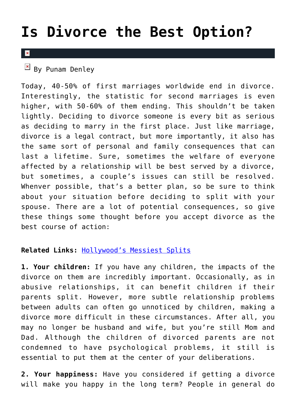## **[Is Divorce the Best Option?](https://cupidspulse.com/36078/divorce-best-option/)**

## $\mathbf{R}$

 $\boxed{\times}$  By Punam Denley

Today, 40-50% of first marriages worldwide end in divorce. Interestingly, the statistic for second marriages is even higher, with 50-60% of them ending. This shouldn't be taken lightly. Deciding to divorce someone is every bit as serious as deciding to marry in the first place. Just like marriage, divorce is a legal contract, but more importantly, it also has the same sort of personal and family consequences that can last a lifetime. Sure, sometimes the welfare of everyone affected by a relationship will be best served by a divorce, but sometimes, a couple's issues can still be resolved. Whenver possible, that's a better plan, so be sure to think about your situation before deciding to split with your spouse. There are a lot of potential consequences, so give these things some thought before you accept divorce as the best course of action:

## **Related Links:** [Hollywood's Messiest Splits](http://cupidspulse.com/messy-celebrity-breakups-divorces/)

**1. Your children:** If you have any children, the impacts of the divorce on them are incredibly important. Occasionally, as in abusive relationships, it can benefit children if their parents split. However, more subtle relationship problems between adults can often go unnoticed by children, making a divorce more difficult in these circumstances. After all, you may no longer be husband and wife, but you're still Mom and Dad. Although the children of divorced parents are not condemned to have psychological problems, it still is essential to put them at the center of your deliberations.

**2. Your happiness:** Have you considered if getting a divorce will make you happy in the long term? People in general do